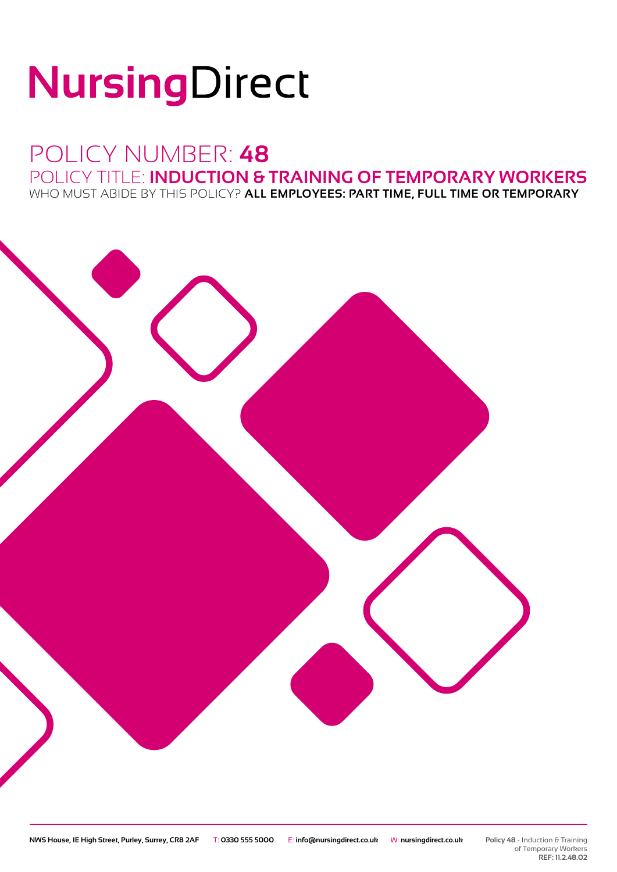# NursingDirect

## POLICY NUMBER: **48** POLICY TITLE: **INDUCTION & TRAINING OF TEMPORARY WORKERS**

WHO MUST ABIDE BY THIS POLICY? **ALL EMPLOYEES: PART TIME, FULL TIME OR TEMPORARY**

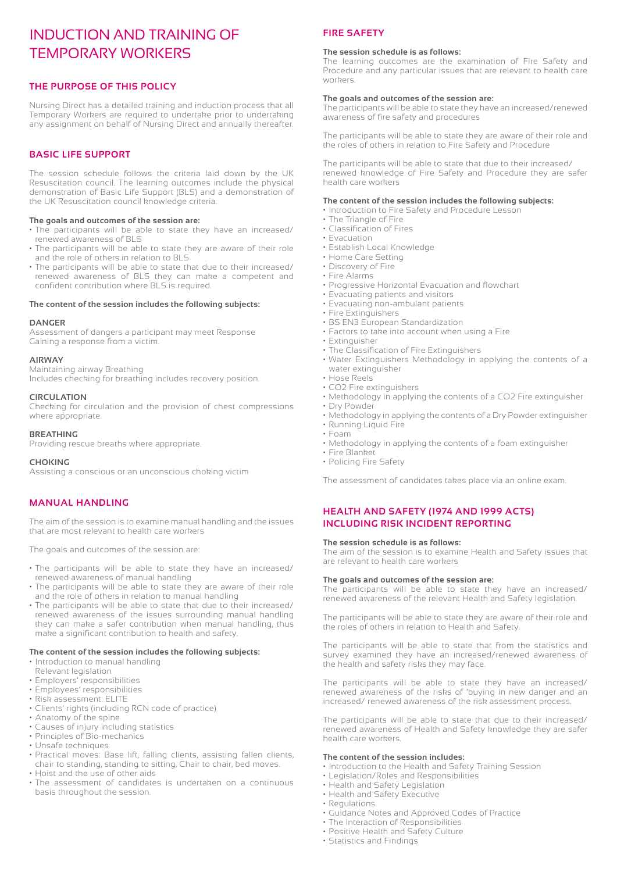### INDUCTION AND TRAINING OF TEMPORARY WORKERS

#### **THE PURPOSE OF THIS POLICY**

Nursing Direct has a detailed training and induction process that all Temporary Workers are required to undertake prior to undertaking any assignment on behalf of Nursing Direct and annually thereafter.

#### **BASIC LIFE SUPPORT**

The session schedule follows the criteria laid down by the UK Resuscitation council. The learning outcomes include the physical demonstration of Basic Life Support (BLS) and a demonstration of the UK Resuscitation council knowledge criteria.

#### **The goals and outcomes of the session are:**

- The participants will be able to state they have an increased/ renewed awareness of BLS
- The participants will be able to state they are aware of their role and the role of others in relation to BLS
- The participants will be able to state that due to their increased/ renewed awareness of BLS they can make a competent and confident contribution where BLS is required.

#### **The content of the session includes the following subjects:**

#### **DANGER**

Assessment of dangers a participant may meet Response Gaining a response from a victim.

#### **AIRWAY**

Maintaining airway Breathing Includes checking for breathing includes recovery position.

#### **CIRCULATION**

Checking for circulation and the provision of chest compressions where appropriate.

#### **BREATHING**

Providing rescue breaths where appropriate.

#### **CHOKING**

Assisting a conscious or an unconscious choking victim

#### **MANUAL HANDLING**

The aim of the session is to examine manual handling and the issues that are most relevant to health care workers

The goals and outcomes of the session are:

- The participants will be able to state they have an increased/ renewed awareness of manual handling
- The participants will be able to state they are aware of their role and the role of others in relation to manual handling
- The participants will be able to state that due to their increased/ renewed awareness of the issues surrounding manual handling they can make a safer contribution when manual handling, thus make a significant contribution to health and safety.

#### **The content of the session includes the following subjects:**

- Introduction to manual handling
- Relevant legislation
- Employers' responsibilities
- Employees' responsibilities
- Risk assessment: ELITE
- Clients' rights (including RCN code of practice)
- Anatomy of the spine
- Causes of injury including statistics
- Principles of Bio-mechanics
- Unsafe techniques
- Practical moves: Base lift, falling clients, assisting fallen clients, chair to standing, standing to sitting, Chair to chair, bed moves.
- Hoist and the use of other aids
- The assessment of candidates is undertaken on a continuous basis throughout the session.

#### **FIRE SAFETY**

#### **The session schedule is as follows:**

The learning outcomes are the examination of Fire Safety and Procedure and any particular issues that are relevant to health care workers.

#### **The goals and outcomes of the session are:**

The participants will be able to state they have an increased/renewed awareness of fire safety and procedures

The participants will be able to state they are aware of their role and the roles of others in relation to Fire Safety and Procedure

The participants will be able to state that due to their increased/ renewed knowledge of Fire Safety and Procedure they are safer health care workers

#### **The content of the session includes the following subjects:**

- Introduction to Fire Safety and Procedure Lesson
- The Triangle of Fire
- Classification of Fires
- Evacuation
- Establish Local Knowledge
- Home Care Setting
- Discovery of Fire
- Fire Alarms
- Progressive Horizontal Evacuation and flowchart
- Evacuating patients and visitors
- Evacuating non-ambulant patients
- Fire Extinguishers
- BS EN3 European Standardization
- Factors to take into account when using a Fire
- Extinguisher
- The Classification of Fire Extinguishers • Water Extinguishers Methodology in applying the contents of a water extinguisher
- Hose Reels
- CO2 Fire extinguishers
- Methodology in applying the contents of a CO2 Fire extinguisher
- Dry Powder
- Methodology in applying the contents of a Dry Powder extinguisher
- Running Liquid Fire
- Foam
- Methodology in applying the contents of a foam extinguisher
- Fire Blanket
- Policing Fire Safety

The assessment of candidates takes place via an online exam.

#### **HEALTH AND SAFETY (1974 AND 1999 ACTS) INCLUDING RISK INCIDENT REPORTING**

#### **The session schedule is as follows:**

The aim of the session is to examine Health and Safety issues that are relevant to health care workers

#### **The goals and outcomes of the session are:**

The participants will be able to state they have an increased/ renewed awareness of the relevant Health and Safety legislation.

The participants will be able to state they are aware of their role and the roles of others in relation to Health and Safety.

The participants will be able to state that from the statistics and survey examined they have an increased/renewed awareness of the health and safety risks they may face.

The participants will be able to state they have an increased/ renewed awareness of the risks of 'buying in new danger and an increased/ renewed awareness of the risk assessment process.

The participants will be able to state that due to their increased/ renewed awareness of Health and Safety knowledge they are safer health care workers.

#### **The content of the session includes:**

- Introduction to the Health and Safety Training Session
- Legislation/Roles and Responsibilities
- Health and Safety Legislation
- Health and Safety Executive
- Regulations
- Guidance Notes and Approved Codes of Practice
- The Interaction of Responsibilities
- Positive Health and Safety Culture
- Statistics and Findings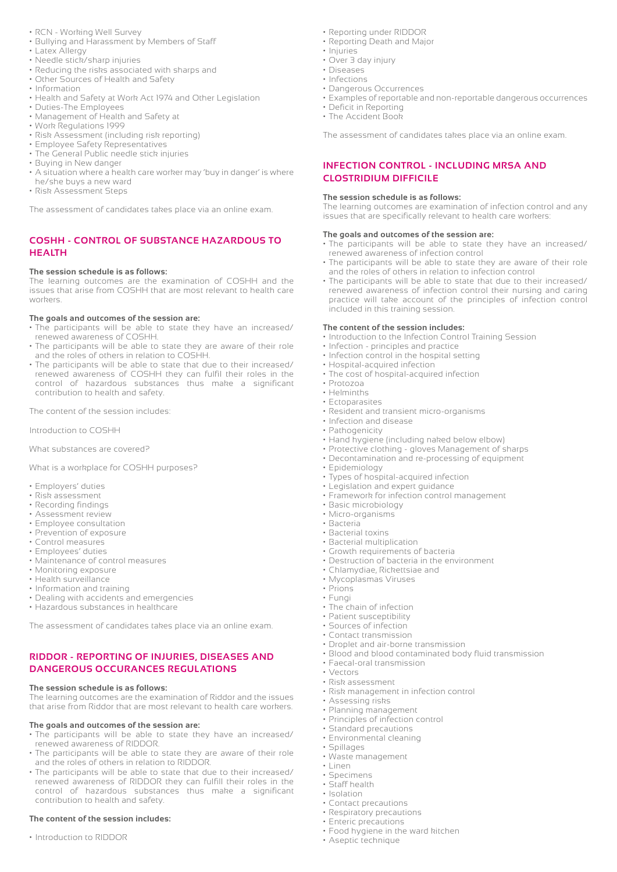- RCN Working Well Survey
- Bullying and Harassment by Members of Staff
- Latex Allergy
- Needle stick/sharp injuries
- Reducing the risks associated with sharps and
- Other Sources of Health and Safety
- Information
- Health and Safety at Work Act 1974 and Other Legislation
- Duties-The Employees
- Management of Health and Safety at
- Work Regulations 1999
- Risk Assessment (including risk reporting)
- Employee Safety Representatives
- The General Public needle stick injuries
- Buying in New danger
- A situation where a health care worker may 'buy in danger' is where he/she buys a new ward
- Risk Assessment Steps

The assessment of candidates takes place via an online exam.

#### **COSHH - CONTROL OF SUBSTANCE HAZARDOUS TO HEALTH**

#### **The session schedule is as follows:**

The learning outcomes are the examination of COSHH and the issues that arise from COSHH that are most relevant to health care workers.

#### **The goals and outcomes of the session are:**

- The participants will be able to state they have an increased/ renewed awareness of COSHH.
- The participants will be able to state they are aware of their role and the roles of others in relation to COSHH.
- The participants will be able to state that due to their increased/ renewed awareness of COSHH they can fulfil their roles in the control of hazardous substances thus make a significant contribution to health and safety.

The content of the session includes:

Introduction to COSHH

What substances are covered?

What is a workplace for COSHH purposes?

- Employers' duties
- Risk assessment
- Recording findings
- Assessment review
- Employee consultation
- Prevention of exposure
- Control measures • Employees' duties
- Maintenance of control measures
- Monitoring exposure
- Health surveillance
- Information and training
- Dealing with accidents and emergencies
- Hazardous substances in healthcare

The assessment of candidates takes place via an online exam.

#### **RIDDOR - REPORTING OF INJURIES, DISEASES AND DANGEROUS OCCURANCES REGULATIONS**

#### **The session schedule is as follows:**

The learning outcomes are the examination of Riddor and the issues that arise from Riddor that are most relevant to health care workers.

#### **The goals and outcomes of the session are:**

- The participants will be able to state they have an increased/ renewed awareness of RIDDOR.
- The participants will be able to state they are aware of their role and the roles of others in relation to RIDDOR.
- The participants will be able to state that due to their increased/ renewed awareness of RIDDOR they can fulfill their roles in the control of hazardous substances thus make a significant contribution to health and safety.

#### **The content of the session includes:**

• Introduction to RIDDOR

- Reporting under RIDDOR
- Reporting Death and Major
- Injuries
- Over 3 day injury
- Diseases • Infections
- Dangerous Occurrences
- Examples of reportable and non-reportable dangerous occurrences
- Deficit in Reporting
- The Accident Book

The assessment of candidates takes place via an online exam.

#### **INFECTION CONTROL - INCLUDING MRSA AND CLOSTRIDIUM DIFFICILE**

#### **The session schedule is as follows:**

The learning outcomes are examination of infection control and any issues that are specifically relevant to health care workers:

#### **The goals and outcomes of the session are:**

- The participants will be able to state they have an increased/ renewed awareness of infection control
- The participants will be able to state they are aware of their role and the roles of others in relation to infection control
- The participants will be able to state that due to their increased/ renewed awareness of infection control their nursing and caring practice will take account of the principles of infection control included in this training session.

#### **The content of the session includes:**

- Introduction to the Infection Control Training Session
- Infection principles and practice
- Infection control in the hospital setting
- Hospital-acquired infection
- The cost of hospital-acquired infection
- Protozoa
- Helminths
- Ectoparasites
- Resident and transient micro-organisms
- Infection and disease
- Pathogenicity
- Hand hygiene (including naked below elbow)
- Protective clothing gloves Management of sharps
- Decontamination and re-processing of equipment
- Epidemiology
- Types of hospital-acquired infection
- Legislation and expert guidance
- Framework for infection control management
- Basic microbiology
- Micro-organisms
- Bacteria
- Bacterial toxins
- Bacterial multiplication
- Growth requirements of bacteria

• Droplet and air-borne transmission

• Risk management in infection control

• Blood and blood contaminated body fluid transmission

- Destruction of bacteria in the environment
- Chlamydiae, Rickettsiae and
- Mycoplasmas Viruses
- Prions
- Fungi

• Vectors

• Spillages

• Linen • Specimens • Staff health • Isolation

• The chain of infection • Patient susceptibility • Sources of infection

• Contact transmission

• Risk assessment

• Assessing risks • Planning management • Principles of infection control • Standard precautions • Environmental cleaning

• Waste management

• Contact precautions • Respiratory precautions • Enteric precautions

• Aseptic technique

• Food hygiene in the ward kitchen

• Faecal-oral transmission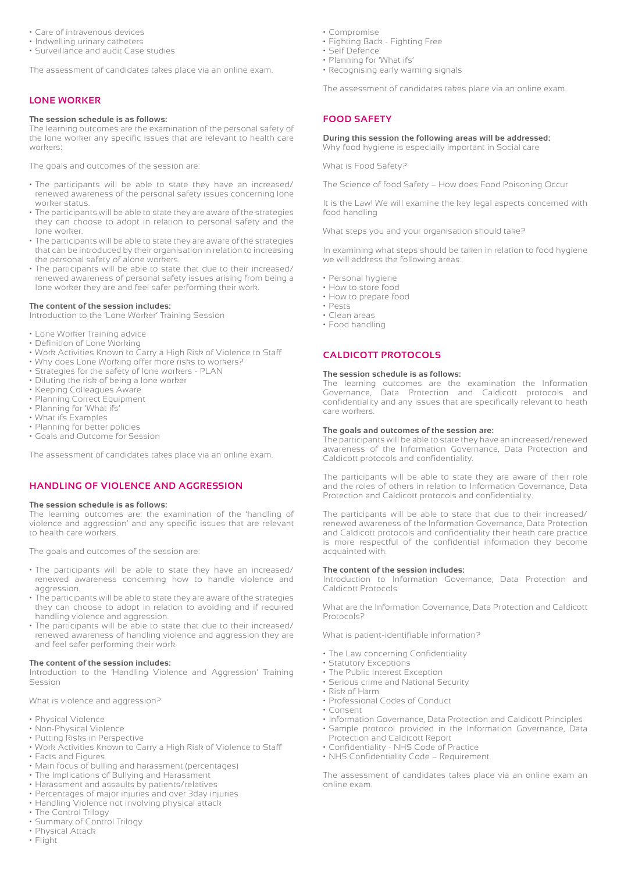- Care of intravenous devices
- Indwelling urinary catheters
- Surveillance and audit Case studies

The assessment of candidates takes place via an online exam.

#### **LONE WORKER**

#### **The session schedule is as follows:**

The learning outcomes are the examination of the personal safety of the lone worker any specific issues that are relevant to health care workers:

The goals and outcomes of the session are:

- The participants will be able to state they have an increased/ renewed awareness of the personal safety issues concerning lone worker status.
- The participants will be able to state they are aware of the strategies they can choose to adopt in relation to personal safety and the lone worker.
- The participants will be able to state they are aware of the strategies that can be introduced by their organisation in relation to increasing the personal safety of alone workers.
- The participants will be able to state that due to their increased/ renewed awareness of personal safety issues arising from being a lone worker they are and feel safer performing their work.

#### **The content of the session includes:**

Introduction to the 'Lone Worker' Training Session

- Lone Worker Training advice
- Definition of Lone Working
- Work Activities Known to Carry a High Risk of Violence to Staff
- Why does Lone Working offer more risks to workers?
- Strategies for the safety of lone workers PLAN
- Diluting the risk of being a lone worker
- Keeping Colleagues Aware
- Planning Correct Equipment
- Planning for 'What ifs'
- What ifs Examples
- Planning for better policies
- Goals and Outcome for Session

The assessment of candidates takes place via an online exam.

#### **HANDLING OF VIOLENCE AND AGGRESSION**

#### **The session schedule is as follows:**

The learning outcomes are: the examination of the 'handling of violence and aggression' and any specific issues that are relevant to health care workers.

The goals and outcomes of the session are:

- The participants will be able to state they have an increased/ renewed awareness concerning how to handle violence and aggression.
- The participants will be able to state they are aware of the strategies they can choose to adopt in relation to avoiding and if required handling violence and aggression.
- The participants will be able to state that due to their increased/ renewed awareness of handling violence and aggression they are and feel safer performing their work.

#### **The content of the session includes:**

Introduction to the 'Handling Violence and Aggression' Training Session

What is violence and aggression?

- Physical Violence
- Non-Physical Violence
- Putting Risks in Perspective
- Work Activities Known to Carry a High Risk of Violence to Staff • Facts and Figures
- Main focus of bulling and harassment (percentages)
- The Implications of Bullying and Harassment
- Harassment and assaults by patients/relatives
- Percentages of major injuries and over 3day injuries
- Handling Violence not involving physical attack
- The Control Trilogy
- Summary of Control Trilogy
- Physical Attack
- Flight
- Compromise
- Fighting Back Fighting Free
- Self Defence
- Planning for 'What ifs'
- Recognising early warning signals

The assessment of candidates takes place via an online exam.

#### **FOOD SAFETY**

#### **During this session the following areas will be addressed:**

Why food hygiene is especially important in Social care

What is Food Safety?

The Science of food Safety – How does Food Poisoning Occur

It is the Law! We will examine the key legal aspects concerned with food handling

What steps you and your organisation should take?

In examining what steps should be taken in relation to food hygiene we will address the following areas:

- Personal hygiene
- How to store food
- How to prepare food
- Pests • Clean areas
- Food handling

#### **CALDICOTT PROTOCOLS**

#### **The session schedule is as follows:**

The learning outcomes are the examination the Information Governance, Data Protection and Caldicott protocols and confidentiality and any issues that are specifically relevant to heath care workers.

#### **The goals and outcomes of the session are:**

The participants will be able to state they have an increased/renewed awareness of the Information Governance, Data Protection and Caldicott protocols and confidentiality.

The participants will be able to state they are aware of their role and the roles of others in relation to Information Governance, Data Protection and Caldicott protocols and confidentiality.

The participants will be able to state that due to their increased/ renewed awareness of the Information Governance, Data Protection and Caldicott protocols and confidentiality their heath care practice is more respectful of the confidential information they become acquainted with.

#### **The content of the session includes:**

Introduction to Information Governance, Data Protection and Caldicott Protocols

What are the Information Governance, Data Protection and Caldicott Protocols?

What is patient-identifiable information?

- The Law concerning Confidentiality
- Statutory Exceptions
- The Public Interest Exception
- Serious crime and National Security
- Risk of Harm
- Professional Codes of Conduct
- Consent
- Information Governance, Data Protection and Caldicott Principles
- Sample protocol provided in the Information Governance, Data Protection and Caldicott Report
- Confidentiality NHS Code of Practice
- NHS Confidentiality Code Requirement

The assessment of candidates takes place via an online exam an online exam.